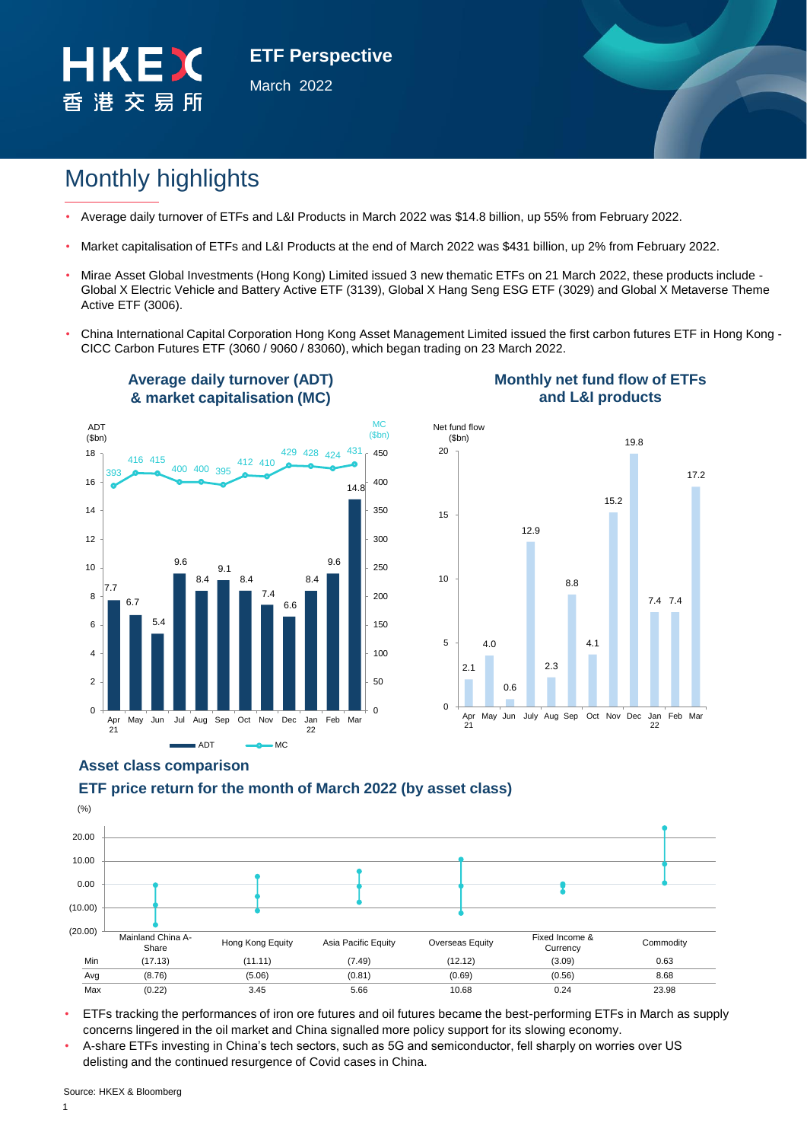

**ETF Perspective** March 2022

# Monthly highlights

- Average daily turnover of ETFs and L&I Products in March 2022 was \$14.8 billion, up 55% from February 2022.
- Market capitalisation of ETFs and L&I Products at the end of March 2022 was \$431 billion, up 2% from February 2022.
- Mirae Asset Global Investments (Hong Kong) Limited issued 3 new thematic ETFs on 21 March 2022, these products include Global X Electric Vehicle and Battery Active ETF (3139), Global X Hang Seng ESG ETF (3029) and Global X Metaverse Theme Active ETF (3006).
- China International Capital Corporation Hong Kong Asset Management Limited issued the first carbon futures ETF in Hong Kong CICC Carbon Futures ETF (3060 / 9060 / 83060), which began trading on 23 March 2022.



**Average daily turnover (ADT)** 

### **Monthly net fund flow of ETFs and L&I products**



# **Asset class comparison**

# **ETF price return for the month of March 2022 (by asset class)**



• ETFs tracking the performances of iron ore futures and oil futures became the best-performing ETFs in March as supply concerns lingered in the oil market and China signalled more policy support for its slowing economy.

• A-share ETFs investing in China's tech sectors, such as 5G and semiconductor, fell sharply on worries over US delisting and the continued resurgence of Covid cases in China.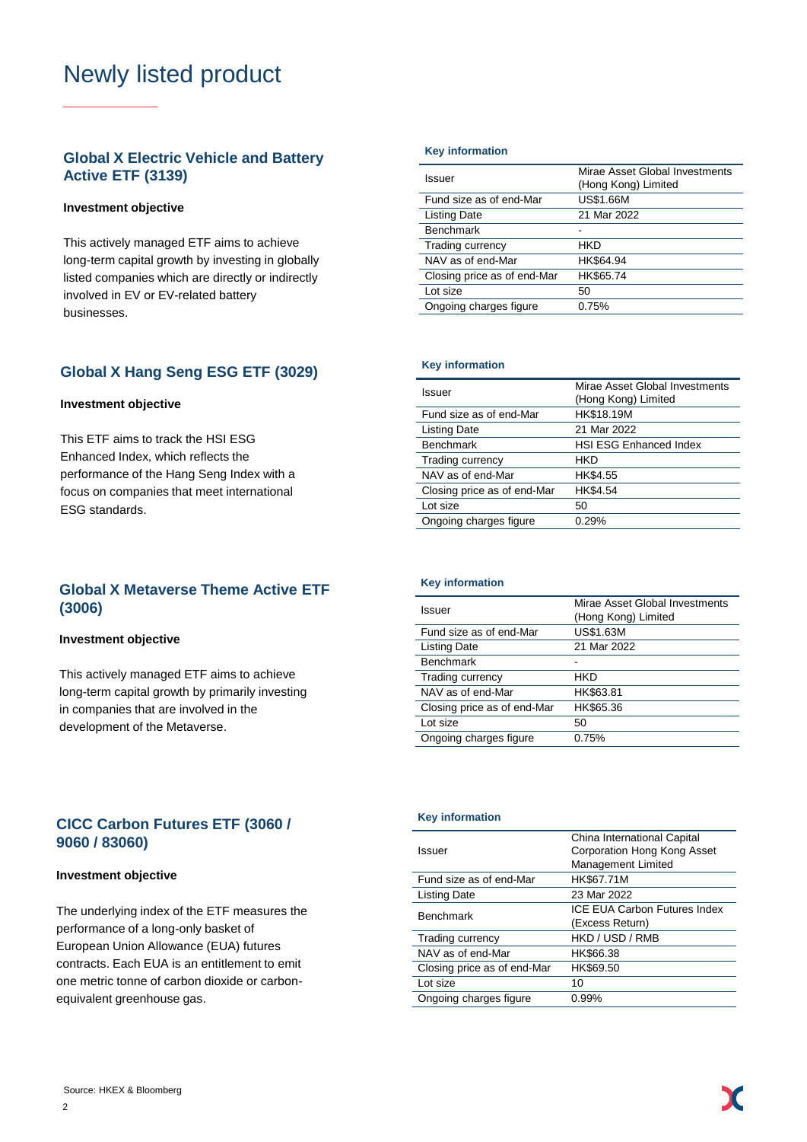# Newly listed product

# **Global X Electric Vehicle and Battery Active ETF (3139)**

### **Investment objective**

This actively managed ETF aims to achieve long-term capital growth by investing in globally listed companies which are directly or indirectly involved in EV or EV-related battery businesses.

### **Global X Hang Seng ESG ETF (3029)**

#### **Investment objective**

This ETF aims to track the HSI ESG Enhanced Index, which reflects the performance of the Hang Seng Index with a focus on companies that meet international ESG standards.

## **Global X Metaverse Theme Active ETF (3006)**

#### **Investment objective**

This actively managed ETF aims to achieve long-term capital growth by primarily investing in companies that are involved in the development of the Metaverse.

#### **Key information**

| Issuer                      | Mirae Asset Global Investments<br>(Hong Kong) Limited |
|-----------------------------|-------------------------------------------------------|
| Fund size as of end-Mar     | <b>US\$1.66M</b>                                      |
| <b>Listing Date</b>         | 21 Mar 2022                                           |
| <b>Benchmark</b>            |                                                       |
| Trading currency            | HKD                                                   |
| NAV as of end-Mar           | HK\$64.94                                             |
| Closing price as of end-Mar | HK\$65.74                                             |
| Lot size                    | 50                                                    |
| Ongoing charges figure      | 0.75%                                                 |
|                             |                                                       |

#### **Key information**

| Issuer                      | Mirae Asset Global Investments<br>(Hong Kong) Limited |  |  |  |  |
|-----------------------------|-------------------------------------------------------|--|--|--|--|
| Fund size as of end-Mar     | HK\$18.19M                                            |  |  |  |  |
| <b>Listing Date</b>         | 21 Mar 2022                                           |  |  |  |  |
| <b>Benchmark</b>            | <b>HSI ESG Enhanced Index</b>                         |  |  |  |  |
| Trading currency            | HKD                                                   |  |  |  |  |
| NAV as of end-Mar           | HK\$4.55                                              |  |  |  |  |
| Closing price as of end-Mar | HK\$4.54                                              |  |  |  |  |
| Lot size                    | 50                                                    |  |  |  |  |
| Ongoing charges figure      | 0.29%                                                 |  |  |  |  |

#### **Key information**

| Issuer                      | Mirae Asset Global Investments<br>(Hong Kong) Limited |
|-----------------------------|-------------------------------------------------------|
| Fund size as of end-Mar     | US\$1.63M                                             |
| <b>Listing Date</b>         | 21 Mar 2022                                           |
| <b>Benchmark</b>            |                                                       |
| Trading currency            | HKD                                                   |
| NAV as of end-Mar           | HK\$63.81                                             |
| Closing price as of end-Mar | HK\$65.36                                             |
| Lot size                    | 50                                                    |
| Ongoing charges figure      | 0.75%                                                 |
|                             |                                                       |

# **CICC Carbon Futures ETF (3060 / 9060 / 83060)**

#### **Investment objective**

The underlying index of the ETF measures the performance of a long-only basket of European Union Allowance (EUA) futures contracts. Each EUA is an entitlement to emit one metric tonne of carbon dioxide or carbonequivalent greenhouse gas.

#### **Key information**

| Issuer                      | China International Capital<br>Corporation Hong Kong Asset<br>Management Limited |
|-----------------------------|----------------------------------------------------------------------------------|
| Fund size as of end-Mar     | HK\$67.71M                                                                       |
| Listing Date                | 23 Mar 2022                                                                      |
| <b>Benchmark</b>            | <b>ICE EUA Carbon Futures Index</b><br>(Excess Return)                           |
| Trading currency            | HKD / USD / RMB                                                                  |
| NAV as of end-Mar           | HK\$66.38                                                                        |
| Closing price as of end-Mar | HK\$69.50                                                                        |
| Lot size                    | 10                                                                               |
| Ongoing charges figure      | 0.99%                                                                            |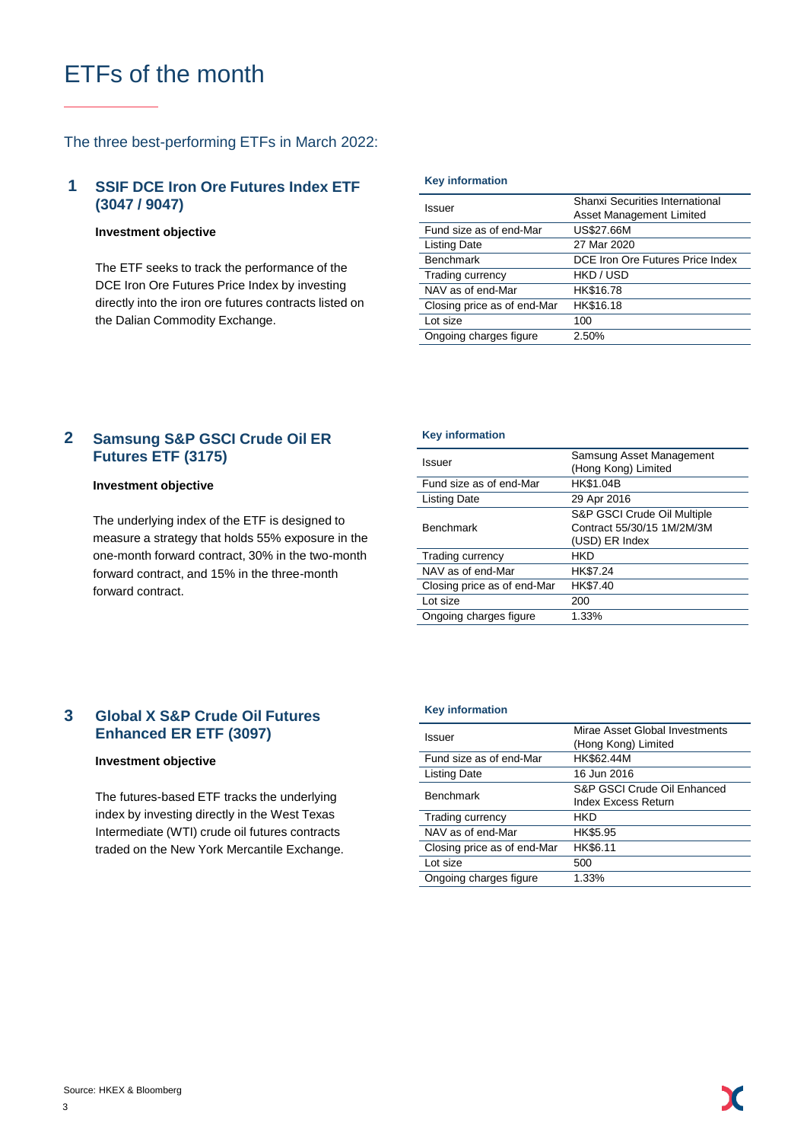# ETFs of the month

### The three best-performing ETFs in March 2022:

#### **1 SSIF DCE Iron Ore Futures Index ETF (3047 / 9047)**

#### **Investment objective**

The ETF seeks to track the performance of the DCE Iron Ore Futures Price Index by investing directly into the iron ore futures contracts listed on the Dalian Commodity Exchange.

#### **Key information**

| Issuer                      | Shanxi Securities International<br>Asset Management Limited |  |  |  |  |
|-----------------------------|-------------------------------------------------------------|--|--|--|--|
| Fund size as of end-Mar     | <b>US\$27.66M</b>                                           |  |  |  |  |
| <b>Listing Date</b>         | 27 Mar 2020                                                 |  |  |  |  |
| <b>Benchmark</b>            | DCE Iron Ore Futures Price Index                            |  |  |  |  |
| Trading currency            | HKD / USD                                                   |  |  |  |  |
| NAV as of end-Mar           | HK\$16.78                                                   |  |  |  |  |
| Closing price as of end-Mar | HK\$16.18                                                   |  |  |  |  |
| Lot size                    | 100                                                         |  |  |  |  |
| Ongoing charges figure      | 2.50%                                                       |  |  |  |  |

#### **Samsung S&P GSCI Crude Oil ER Futures ETF (3175) 2**

#### **Investment objective**

The underlying index of the ETF is designed to measure a strategy that holds 55% exposure in the one-month forward contract, 30% in the two-month forward contract, and 15% in the three-month forward contract.

#### **Key information**

| Issuer                      | Samsung Asset Management<br>(Hong Kong) Limited                             |
|-----------------------------|-----------------------------------------------------------------------------|
| Fund size as of end-Mar     | HK\$1.04B                                                                   |
| Listing Date                | 29 Apr 2016                                                                 |
| <b>Benchmark</b>            | S&P GSCI Crude Oil Multiple<br>Contract 55/30/15 1M/2M/3M<br>(USD) ER Index |
| Trading currency            | HKD                                                                         |
| NAV as of end-Mar           | HK\$7.24                                                                    |
| Closing price as of end-Mar | HK\$7.40                                                                    |
| Lot size                    | 200                                                                         |
| Ongoing charges figure      | 1.33%                                                                       |

#### **Global X S&P Crude Oil Futures Enhanced ER ETF (3097) 3**

#### **Investment objective**

The futures-based ETF tracks the underlying index by investing directly in the West Texas Intermediate (WTI) crude oil futures contracts traded on the New York Mercantile Exchange.

#### **Key information**

| Issuer                      | Mirae Asset Global Investments<br>(Hong Kong) Limited |  |  |  |
|-----------------------------|-------------------------------------------------------|--|--|--|
| Fund size as of end-Mar     | HK\$62.44M                                            |  |  |  |
| Listing Date                | 16 Jun 2016                                           |  |  |  |
| <b>Benchmark</b>            | S&P GSCI Crude Oil Enhanced<br>Index Excess Return    |  |  |  |
| Trading currency            | HKD                                                   |  |  |  |
| NAV as of end-Mar           | HK\$5.95                                              |  |  |  |
| Closing price as of end-Mar | HK\$6.11                                              |  |  |  |
| Lot size                    | 500                                                   |  |  |  |
| Ongoing charges figure      | 1.33%                                                 |  |  |  |
|                             |                                                       |  |  |  |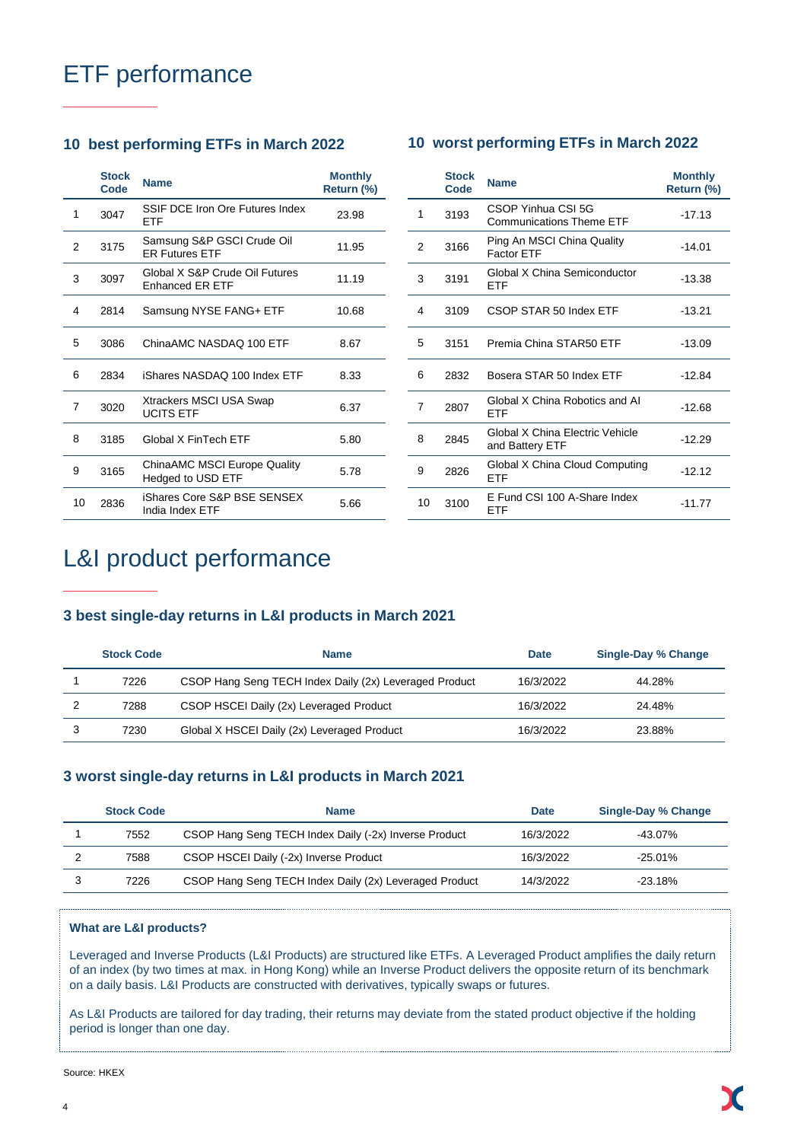# ETF performance

# **10 best performing ETFs in March 2022 10 worst performing ETFs in March 2022**

# **Stock Code Name Monthly Return (%)** 1 3047 SSIF DCE Iron Ore Futures Index 23.98 2 3175 Samsung S&P GSCI Crude Oil Samsung S&P GSCI Crude OII 11.95 <sup>3</sup> <sup>3097</sup> Global X S&P Crude Oil Futures Global X S&P Crude Oil Futures 11.19 4 2814 Samsung NYSE FANG+ ETF 10.68 5 3086 ChinaAMC NASDAQ 100 ETF 8.67 6 2834 iShares NASDAQ 100 Index ETF 8.33 7 3020 Xtrackers MSCI USA Swap Xtrackers MSCI USA Swap<br>UCITS ETF 8 3185 Global X FinTech ETF 5.80 9 3165 ChinaAMC MSCI Europe Quality ChinaAMC MSCI Europe Quality 5.78<br>Hedged to USD ETF 10 2836 iShares Core S&P BSE SENSEX India Index ETF 5.66

|    | <b>Stock</b><br>Code | <b>Name</b>                                           | <b>Monthly</b><br>Return (%) |
|----|----------------------|-------------------------------------------------------|------------------------------|
| 1  | 3193                 | CSOP Yinhua CSI 5G<br><b>Communications Theme ETF</b> | $-17.13$                     |
| 2  | 3166                 | Ping An MSCI China Quality<br>Factor ETF              | $-14.01$                     |
| 3  | 3191                 | Global X China Semiconductor<br>ETF                   | -13.38                       |
| 4  | 3109                 | CSOP STAR 50 Index ETF                                | $-13.21$                     |
| 5  | 3151                 | Premia China STAR50 ETF                               | $-13.09$                     |
| 6  | 2832                 | Bosera STAR 50 Index ETF                              | $-12.84$                     |
| 7  | 2807                 | Global X China Robotics and AI<br>FTF                 | $-12.68$                     |
| 8  | 2845                 | Global X China Electric Vehicle<br>and Battery ETF    | $-12.29$                     |
| 9  | 2826                 | Global X China Cloud Computing<br>ETF                 | $-12.12$                     |
| 10 | 3100                 | E Fund CSI 100 A-Share Index<br>ETF                   | $-11.77$                     |

# L&I product performance

# **3 best single-day returns in L&I products in March 2021**

| <b>Stock Code</b> | <b>Name</b>                                            | <b>Date</b> | <b>Single-Day % Change</b> |
|-------------------|--------------------------------------------------------|-------------|----------------------------|
| 7226              | CSOP Hang Seng TECH Index Daily (2x) Leveraged Product | 16/3/2022   | 44.28%                     |
| 7288              | CSOP HSCEI Daily (2x) Leveraged Product                | 16/3/2022   | 24.48%                     |
| 7230              | Global X HSCEI Daily (2x) Leveraged Product            | 16/3/2022   | 23.88%                     |

# **3 worst single-day returns in L&I products in March 2021**

| <b>Stock Code</b> | <b>Name</b>                                            | <b>Date</b> | <b>Single-Day % Change</b> |
|-------------------|--------------------------------------------------------|-------------|----------------------------|
| 7552              | CSOP Hang Seng TECH Index Daily (-2x) Inverse Product  | 16/3/2022   | -43.07%                    |
| 7588              | CSOP HSCEI Daily (-2x) Inverse Product                 | 16/3/2022   | $-25.01\%$                 |
| 7226              | CSOP Hang Seng TECH Index Daily (2x) Leveraged Product | 14/3/2022   | $-23.18\%$                 |

### **What are L&I products?**

Leveraged and Inverse Products (L&I Products) are structured like ETFs. A Leveraged Product amplifies the daily return of an index (by two times at max. in Hong Kong) while an Inverse Product delivers the opposite return of its benchmark on a daily basis. L&I Products are constructed with derivatives, typically swaps or futures.

As L&I Products are tailored for day trading, their returns may deviate from the stated product objective if the holding period is longer than one day.

Source: HKEX